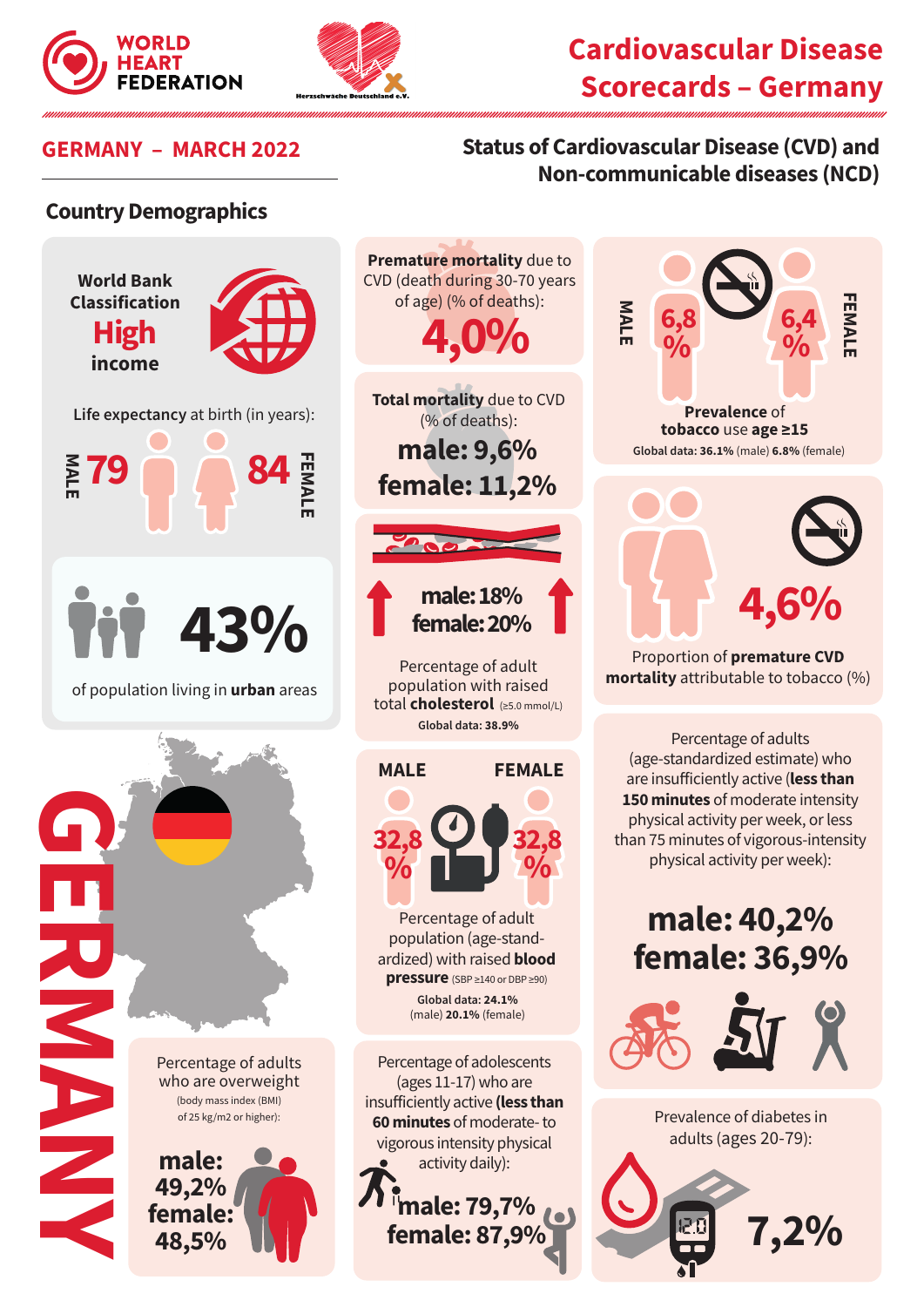



## **Cardiovascular Disease Scorecards – Germany**

## **GERMANY – MARCH 2022 Status of Cardiovascular Disease (CVD) and Non-communicable diseases (NCD)**

### **Country Demographics**







Proportion of **premature CVD mortality** attributable to tobacco (%)

Percentage of adults (age-standardized estimate) who are insufficiently active (**less than 150 minutes** of moderate intensity physical activity per week, or less than 75 minutes of vigorous-intensity physical activity per week):

# **male: 40,2% female: 36,9%**



Prevalence of diabetes in adults (ages 20-79):